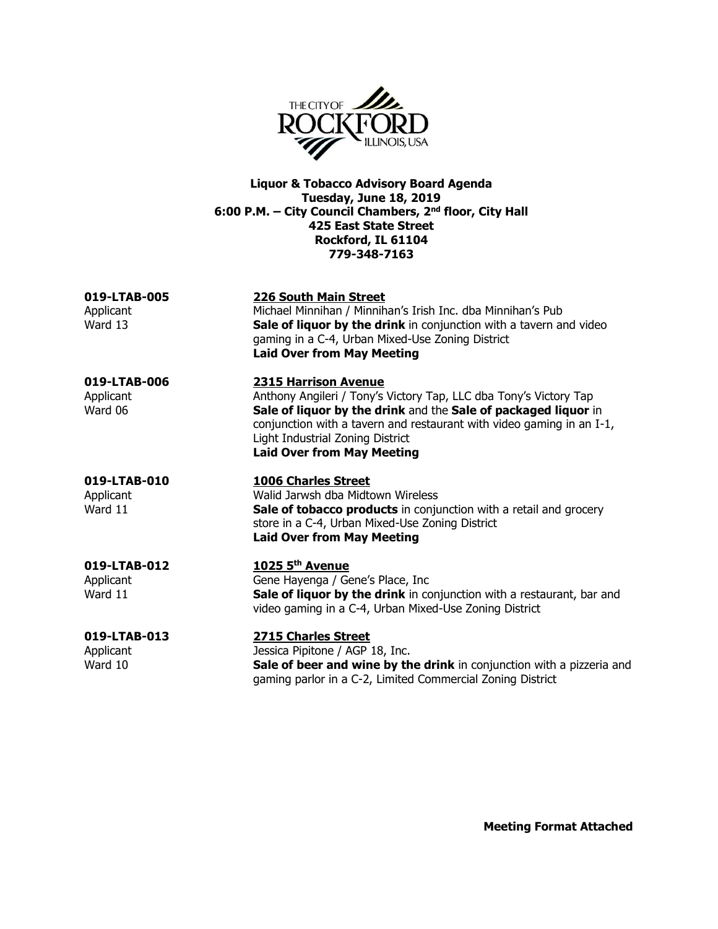

**Liquor & Tobacco Advisory Board Agenda Tuesday, June 18, 2019 6:00 P.M. – City Council Chambers, 2nd floor, City Hall 425 East State Street Rockford, IL 61104 779-348-7163**

**019-LTAB-005 226 South Main Street**

Applicant Michael Minnihan / Minnihan's Irish Inc. dba Minnihan's Pub Ward 13 **Sale of liquor by the drink** in conjunction with a tavern and video gaming in a C-4, Urban Mixed-Use Zoning District **Laid Over from May Meeting**

# **019-LTAB-006 2315 Harrison Avenue**

Applicant Anthony Angileri / Tony's Victory Tap, LLC dba Tony's Victory Tap Ward 06 **Sale of liquor by the drink** and the **Sale of packaged liquor** in conjunction with a tavern and restaurant with video gaming in an I-1, Light Industrial Zoning District **Laid Over from May Meeting**

### **019-LTAB-010 1006 Charles Street**

Applicant Walid Jarwsh dba Midtown Wireless Ward 11 **Sale of tobacco products** in conjunction with a retail and grocery store in a C-4, Urban Mixed-Use Zoning District **Laid Over from May Meeting**

#### **019-LTAB-012 1025 5th Avenue**

Applicant Gene Hayenga / Gene's Place, Inc Ward 11 **Sale of liquor by the drink** in conjunction with a restaurant, bar and video gaming in a C-4, Urban Mixed-Use Zoning District

**019-LTAB-013 2715 Charles Street** Applicant Jessica Pipitone / AGP 18, Inc. Ward 10 **Sale of beer and wine by the drink** in conjunction with a pizzeria and gaming parlor in a C-2, Limited Commercial Zoning District

**Meeting Format Attached**